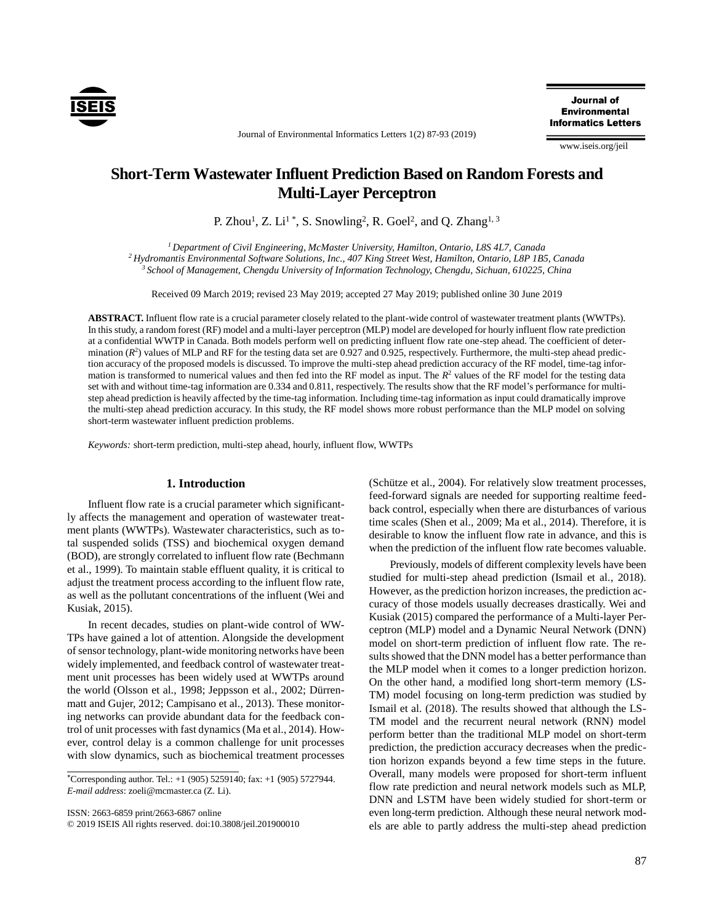

Journal of **Environmental Informatics Letters** 

www.iseis.org/jeil

## Journal of Environmental Informatics Letters 1(2) 87-93 (2019)

# **Short-Term Wastewater Influent Prediction Based on Random Forests and Multi-Layer Perceptron**

P. Zhou<sup>1</sup>, Z. Li<sup>1</sup>\*, S. Snowling<sup>2</sup>, R. Goel<sup>2</sup>, and Q. Zhang<sup>1, 3</sup>

*<sup>1</sup> Department of Civil Engineering, McMaster University, Hamilton, Ontario, L8S 4L7, Canada <sup>2</sup> Hydromantis Environmental Software Solutions, Inc., 407 King Street West, Hamilton, Ontario, L8P 1B5, Canada <sup>3</sup> School of Management, Chengdu University of Information Technology, Chengdu, Sichuan, 610225, China*

Received 09 March 2019; revised 23 May 2019; accepted 27 May 2019; published online 30 June 2019

**ABSTRACT.** Influent flow rate is a crucial parameter closely related to the plant-wide control of wastewater treatment plants (WWTPs). In this study, a random forest (RF) model and a multi-layer perceptron (MLP) model are developed for hourly influent flow rate prediction at a confidential WWTP in Canada. Both models perform well on predicting influent flow rate one-step ahead. The coefficient of determination  $(R^2)$  values of MLP and RF for the testing data set are 0.927 and 0.925, respectively. Furthermore, the multi-step ahead prediction accuracy of the proposed models is discussed. To improve the multi-step ahead prediction accuracy of the RF model, time-tag information is transformed to numerical values and then fed into the RF model as input. The  $R<sup>2</sup>$  values of the RF model for the testing data set with and without time-tag information are 0.334 and 0.811, respectively. The results show that the RF model's performance for multistep ahead prediction is heavily affected by the time-tag information. Including time-tag information as input could dramatically improve the multi-step ahead prediction accuracy. In this study, the RF model shows more robust performance than the MLP model on solving short-term wastewater influent prediction problems.

*Keywords:* short-term prediction, multi-step ahead, hourly, influent flow, WWTPs

# **1. Introduction**

Influent flow rate is a crucial parameter which significantly affects the management and operation of wastewater treatment plants (WWTPs). Wastewater characteristics, such as total suspended solids (TSS) and biochemical oxygen demand (BOD), are strongly correlated to influent flow rate (Bechmann et al., 1999). To maintain stable effluent quality, it is critical to adjust the treatment process according to the influent flow rate, as well as the pollutant concentrations of the influent (Wei and Kusiak, 2015).

In recent decades, studies on plant-wide control of WW-TPs have gained a lot of attention. Alongside the development of sensor technology, plant-wide monitoring networks have been widely implemented, and feedback control of wastewater treatment unit processes has been widely used at WWTPs around the world (Olsson et al., 1998; Jeppsson et al., 2002; Dürrenmatt and Gujer, 2012; Campisano et al., 2013). These monitoring networks can provide abundant data for the feedback control of unit processes with fast dynamics (Ma et al., 2014). However, control delay is a common challenge for unit processes with slow dynamics, such as biochemical treatment processes l

ISSN: 2663-6859 print/2663-6867 online

© 2019 ISEIS All rights reserved. doi:10.3808/jeil.201900010

(Schütze et al., 2004). For relatively slow treatment processes, feed-forward signals are needed for supporting realtime feedback control, especially when there are disturbances of various time scales (Shen et al., 2009; Ma et al., 2014). Therefore, it is desirable to know the influent flow rate in advance, and this is when the prediction of the influent flow rate becomes valuable.

Previously, models of different complexity levels have been studied for multi-step ahead prediction (Ismail et al., 2018). However, as the prediction horizon increases, the prediction accuracy of those models usually decreases drastically. Wei and Kusiak (2015) compared the performance of a Multi-layer Perceptron (MLP) model and a Dynamic Neural Network (DNN) model on short-term prediction of influent flow rate. The results showed that the DNN model has a better performance than the MLP model when it comes to a longer prediction horizon. On the other hand, a modified long short-term memory (LS-TM) model focusing on long-term prediction was studied by Ismail et al. (2018). The results showed that although the LS-TM model and the recurrent neural network (RNN) model perform better than the traditional MLP model on short-term prediction, the prediction accuracy decreases when the prediction horizon expands beyond a few time steps in the future. Overall, many models were proposed for short-term influent flow rate prediction and neural network models such as MLP, DNN and LSTM have been widely studied for short-term or even long-term prediction. Although these neural network models are able to partly address the multi-step ahead prediction

<sup>\*</sup>Corresponding author. Tel.:  $+1$  (905) 5259140; fax:  $+1$  (905) 5727944. *E-mail address*: zoeli@mcmaster.ca (Z. Li).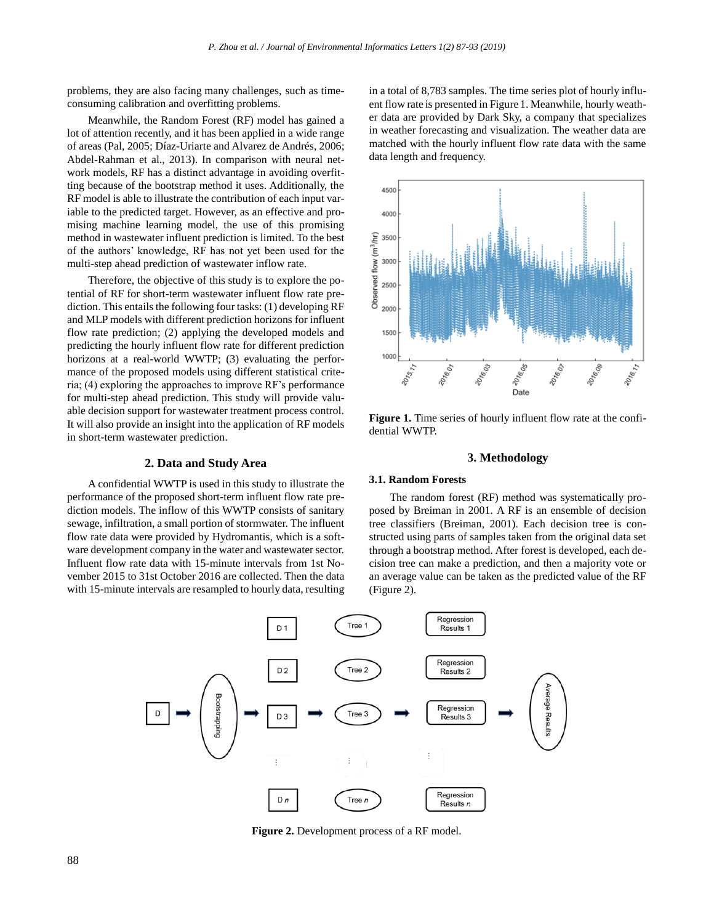problems, they are also facing many challenges, such as timeconsuming calibration and overfitting problems.

Meanwhile, the Random Forest (RF) model has gained a lot of attention recently, and it has been applied in a wide range of areas (Pal, 2005; Díaz-Uriarte and Alvarez de Andrés, 2006; Abdel-Rahman et al., 2013). In comparison with neural network models, RF has a distinct advantage in avoiding overfitting because of the bootstrap method it uses. Additionally, the RF model is able to illustrate the contribution of each input variable to the predicted target. However, as an effective and promising machine learning model, the use of this promising method in wastewater influent prediction is limited. To the best of the authors' knowledge, RF has not yet been used for the multi-step ahead prediction of wastewater inflow rate.

Therefore, the objective of this study is to explore the potential of RF for short-term wastewater influent flow rate prediction. This entails the following four tasks: (1) developing RF and MLP models with different prediction horizons for influent flow rate prediction; (2) applying the developed models and predicting the hourly influent flow rate for different prediction horizons at a real-world WWTP; (3) evaluating the performance of the proposed models using different statistical criteria; (4) exploring the approaches to improve RF's performance for multi-step ahead prediction. This study will provide valuable decision support for wastewater treatment process control. It will also provide an insight into the application of RF models in short-term wastewater prediction.

# **2. Data and Study Area**

A confidential WWTP is used in this study to illustrate the performance of the proposed short-term influent flow rate prediction models. The inflow of this WWTP consists of sanitary sewage, infiltration, a small portion of stormwater. The influent flow rate data were provided by Hydromantis, which is a software development company in the water and wastewater sector. Influent flow rate data with 15-minute intervals from 1st November 2015 to 31st October 2016 are collected. Then the data with 15-minute intervals are resampled to hourly data, resulting in a total of 8,783 samples. The time series plot of hourly influent flow rate is presented in Figure 1. Meanwhile, hourly weather data are provided by Dark Sky, a company that specializes in weather forecasting and visualization. The weather data are matched with the hourly influent flow rate data with the same data length and frequency.



**Figure 1.** Time series of hourly influent flow rate at the confidential WWTP.

#### **3. Methodology**

# **3.1. Random Forests**

The random forest (RF) method was systematically proposed by Breiman in 2001. A RF is an ensemble of decision tree classifiers (Breiman, 2001). Each decision tree is constructed using parts of samples taken from the original data set through a bootstrap method. After forest is developed, each decision tree can make a prediction, and then a majority vote or an average value can be taken as the predicted value of the RF (Figure 2).



**Figure 2.** Development process of a RF model.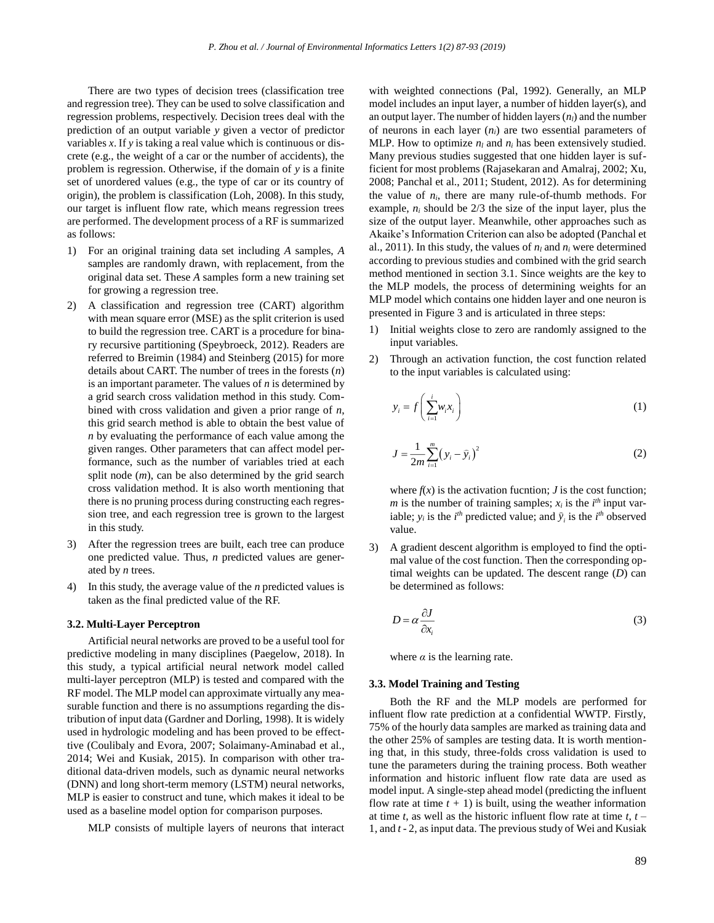There are two types of decision trees (classification tree and regression tree). They can be used to solve classification and regression problems, respectively. Decision trees deal with the prediction of an output variable *y* given a vector of predictor variables *x*. If *y* is taking a real value which is continuous or discrete (e.g., the weight of a car or the number of accidents), the problem is regression. Otherwise, if the domain of *y* is a finite set of unordered values (e.g., the type of car or its country of origin), the problem is classification (Loh, 2008). In this study, our target is influent flow rate, which means regression trees are performed. The development process of a RF is summarized as follows:

- 1) For an original training data set including *A* samples, *A* samples are randomly drawn, with replacement, from the original data set. These *A* samples form a new training set for growing a regression tree.
- 2) A classification and regression tree (CART) algorithm with mean square error (MSE) as the split criterion is used to build the regression tree. CART is a procedure for binary recursive partitioning (Speybroeck, 2012). Readers are referred to Breimin (1984) and Steinberg (2015) for more details about CART. The number of trees in the forests (*n*) is an important parameter. The values of *n* is determined by a grid search cross validation method in this study. Combined with cross validation and given a prior range of *n*, this grid search method is able to obtain the best value of *n* by evaluating the performance of each value among the given ranges. Other parameters that can affect model performance, such as the number of variables tried at each split node (*m*), can be also determined by the grid search cross validation method. It is also worth mentioning that there is no pruning process during constructing each regression tree, and each regression tree is grown to the largest in this study.
- 3) After the regression trees are built, each tree can produce one predicted value. Thus, *n* predicted values are generated by *n* trees.
- 4) In this study, the average value of the *n* predicted values is taken as the final predicted value of the RF.

#### **3.2. Multi-Layer Perceptron**

Artificial neural networks are proved to be a useful tool for predictive modeling in many disciplines (Paegelow, 2018). In this study, a typical artificial neural network model called multi-layer perceptron (MLP) is tested and compared with the RF model. The MLP model can approximate virtually any measurable function and there is no assumptions regarding the distribution of input data (Gardner and Dorling, 1998). It is widely used in hydrologic modeling and has been proved to be effecttive (Coulibaly and Evora, 2007; Solaimany-Aminabad et al., 2014; Wei and Kusiak, 2015). In comparison with other traditional data-driven models, such as dynamic neural networks (DNN) and long short-term memory (LSTM) neural networks, MLP is easier to construct and tune, which makes it ideal to be used as a baseline model option for comparison purposes.

MLP consists of multiple layers of neurons that interact

with weighted connections (Pal, 1992). Generally, an MLP model includes an input layer, a number of hidden layer(s), and an output layer. The number of hidden layers  $(n_l)$  and the number of neurons in each layer (*ni*) are two essential parameters of MLP. How to optimize  $n_l$  and  $n_i$  has been extensively studied. Many previous studies suggested that one hidden layer is sufficient for most problems (Rajasekaran and Amalraj, 2002; Xu, 2008; Panchal et al., 2011; Student, 2012). As for determining the value of  $n_i$ , there are many rule-of-thumb methods. For example,  $n_i$  should be  $2/3$  the size of the input layer, plus the size of the output layer. Meanwhile, other approaches such as Akaike's Information Criterion can also be adopted (Panchal et al., 2011). In this study, the values of  $n_l$  and  $n_i$  were determined according to previous studies and combined with the grid search method mentioned in section 3.1. Since weights are the key to the MLP models, the process of determining weights for an MLP model which contains one hidden layer and one neuron is presented in Figure 3 and is articulated in three steps:

- 1) Initial weights close to zero are randomly assigned to the input variables.
- 2) Through an activation function, the cost function related to the input variables is calculated using:

$$
y_i = f\left(\sum_{i=1}^i w_i x_i\right) \tag{1}
$$

$$
J = \frac{1}{2m} \sum_{i=1}^{m} (y_i - \hat{y}_i)^2
$$
 (2)

where  $f(x)$  is the activation fucntion; *J* is the cost function; *m* is the number of training samples;  $x_i$  is the  $i^{th}$  input variable;  $y_i$  is the *i*<sup>th</sup> predicted value; and  $\hat{y}_i$  is the *i*<sup>th</sup> observed value.

3) A gradient descent algorithm is employed to find the optimal value of the cost function. Then the corresponding optimal weights can be updated. The descent range (*D*) can be determined as follows:

$$
D = \alpha \frac{\partial J}{\partial x_i} \tag{3}
$$

where  $\alpha$  is the learning rate.

## **3.3. Model Training and Testing**

Both the RF and the MLP models are performed for influent flow rate prediction at a confidential WWTP. Firstly, 75% of the hourly data samples are marked as training data and the other 25% of samples are testing data. It is worth mentioning that, in this study, three-folds cross validation is used to tune the parameters during the training process. Both weather information and historic influent flow rate data are used as model input. A single-step ahead model (predicting the influent flow rate at time  $t + 1$ ) is built, using the weather information at time *t*, as well as the historic influent flow rate at time *t*, *t –* 1, and *t -* 2, as input data. The previous study of Wei and Kusiak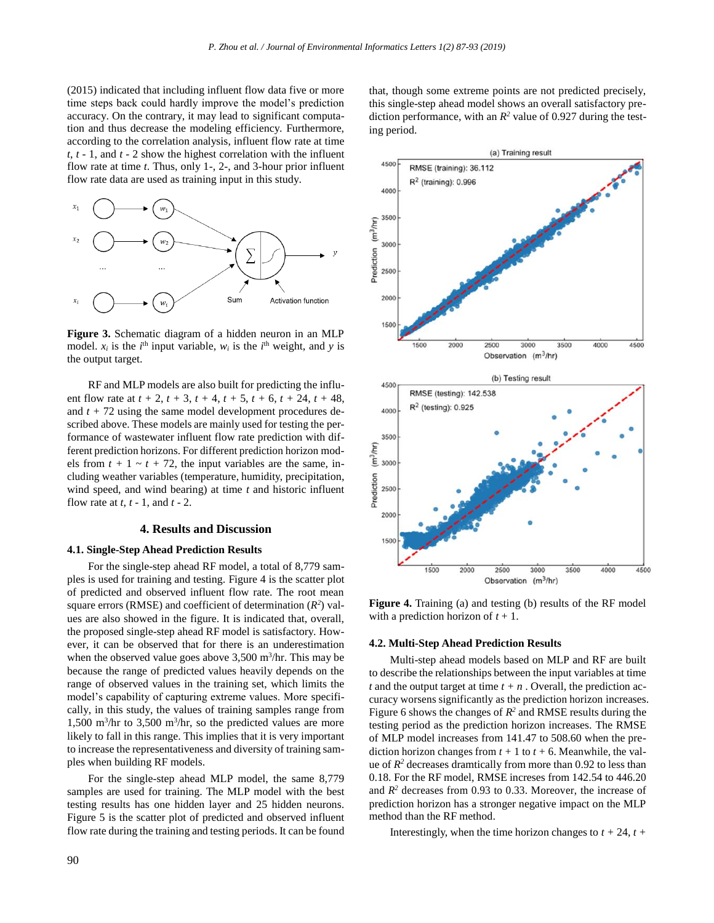(2015) indicated that including influent flow data five or more time steps back could hardly improve the model's prediction accuracy. On the contrary, it may lead to significant computation and thus decrease the modeling efficiency. Furthermore, according to the correlation analysis, influent flow rate at time *t*, *t -* 1, and *t -* 2 show the highest correlation with the influent flow rate at time *t*. Thus, only 1-, 2-, and 3-hour prior influent flow rate data are used as training input in this study.



**Figure 3.** Schematic diagram of a hidden neuron in an MLP model.  $x_i$  is the  $i^{\text{th}}$  input variable,  $w_i$  is the  $i^{\text{th}}$  weight, and y is the output target.

RF and MLP models are also built for predicting the influent flow rate at  $t + 2$ ,  $t + 3$ ,  $t + 4$ ,  $t + 5$ ,  $t + 6$ ,  $t + 24$ ,  $t + 48$ , and  $t + 72$  using the same model development procedures described above. These models are mainly used for testing the performance of wastewater influent flow rate prediction with different prediction horizons. For different prediction horizon models from  $t + 1 \sim t + 72$ , the input variables are the same, including weather variables (temperature, humidity, precipitation, wind speed, and wind bearing) at time *t* and historic influent flow rate at *t*, *t -* 1, and *t* - 2.

#### **4. Results and Discussion**

#### **4.1. Single-Step Ahead Prediction Results**

For the single-step ahead RF model, a total of 8,779 samples is used for training and testing. Figure 4 is the scatter plot of predicted and observed influent flow rate. The root mean square errors (RMSE) and coefficient of determination  $(R^2)$  values are also showed in the figure. It is indicated that, overall, the proposed single-step ahead RF model is satisfactory. However, it can be observed that for there is an underestimation when the observed value goes above  $3,500$  m<sup>3</sup>/hr. This may be because the range of predicted values heavily depends on the range of observed values in the training set, which limits the model's capability of capturing extreme values. More specifically, in this study, the values of training samples range from 1,500 m<sup>3</sup>/hr to 3,500 m<sup>3</sup>/hr, so the predicted values are more likely to fall in this range. This implies that it is very important to increase the representativeness and diversity of training samples when building RF models.

For the single-step ahead MLP model, the same 8,779 samples are used for training. The MLP model with the best testing results has one hidden layer and 25 hidden neurons. Figure 5 is the scatter plot of predicted and observed influent flow rate during the training and testing periods. It can be found

that, though some extreme points are not predicted precisely, this single-step ahead model shows an overall satisfactory prediction performance, with an  $R^2$  value of 0.927 during the testing period.



**Figure 4.** Training (a) and testing (b) results of the RF model with a prediction horizon of  $t + 1$ .

#### **4.2. Multi-Step Ahead Prediction Results**

Multi-step ahead models based on MLP and RF are built to describe the relationships between the input variables at time *t* and the output target at time  $t + n$ . Overall, the prediction accuracy worsens significantly as the prediction horizon increases. Figure 6 shows the changes of  $R^2$  and RMSE results during the testing period as the prediction horizon increases. The RMSE of MLP model increases from 141.47 to 508.60 when the prediction horizon changes from  $t + 1$  to  $t + 6$ . Meanwhile, the value of  $R^2$  decreases dramtically from more than 0.92 to less than 0.18. For the RF model, RMSE increses from 142.54 to 446.20 and  $R^2$  decreases from 0.93 to 0.33. Moreover, the increase of prediction horizon has a stronger negative impact on the MLP method than the RF method.

Interestingly, when the time horizon changes to  $t + 24$ ,  $t +$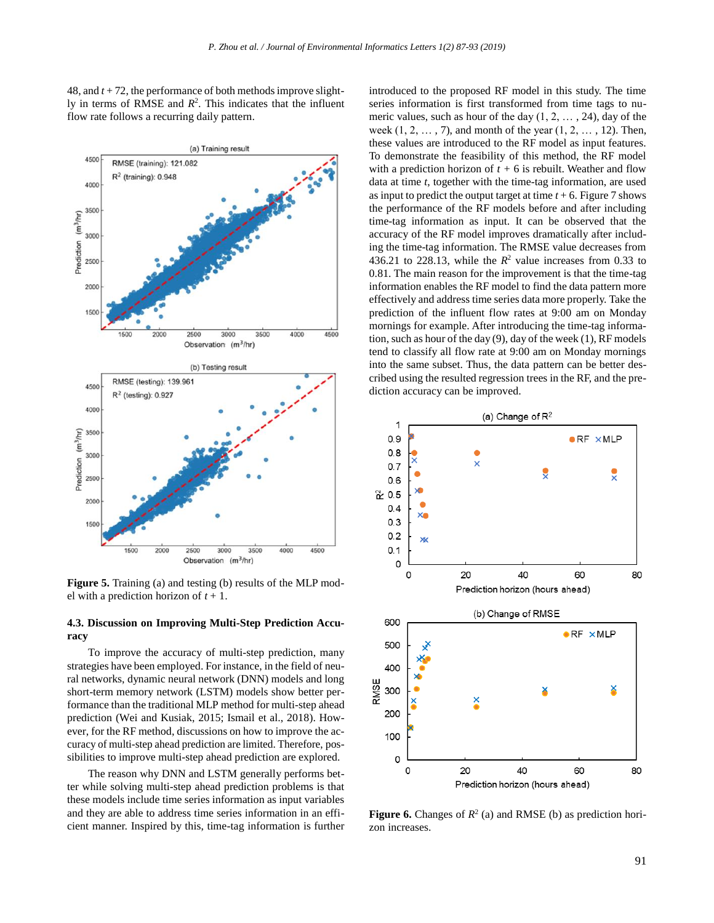48, and *t* + 72, the performance of both methods improve slightly in terms of RMSE and  $R^2$ . This indicates that the influent flow rate follows a recurring daily pattern.



**Figure 5.** Training (a) and testing (b) results of the MLP model with a prediction horizon of *t* + 1.

# **4.3. Discussion on Improving Multi-Step Prediction Accuracy**

To improve the accuracy of multi-step prediction, many strategies have been employed. For instance, in the field of neural networks, dynamic neural network (DNN) models and long short-term memory network (LSTM) models show better performance than the traditional MLP method for multi-step ahead prediction (Wei and Kusiak, 2015; Ismail et al., 2018). However, for the RF method, discussions on how to improve the accuracy of multi-step ahead prediction are limited. Therefore, possibilities to improve multi-step ahead prediction are explored.

The reason why DNN and LSTM generally performs better while solving multi-step ahead prediction problems is that these models include time series information as input variables and they are able to address time series information in an efficient manner. Inspired by this, time-tag information is further introduced to the proposed RF model in this study. The time series information is first transformed from time tags to numeric values, such as hour of the day  $(1, 2, \ldots, 24)$ , day of the week  $(1, 2, \ldots, 7)$ , and month of the year  $(1, 2, \ldots, 12)$ . Then, these values are introduced to the RF model as input features. To demonstrate the feasibility of this method, the RF model with a prediction horizon of  $t + 6$  is rebuilt. Weather and flow data at time *t*, together with the time-tag information, are used as input to predict the output target at time  $t + 6$ . Figure 7 shows the performance of the RF models before and after including time-tag information as input. It can be observed that the accuracy of the RF model improves dramatically after including the time-tag information. The RMSE value decreases from 436.21 to 228.13, while the  $R^2$  value increases from 0.33 to 0.81. The main reason for the improvement is that the time-tag information enables the RF model to find the data pattern more effectively and address time series data more properly. Take the prediction of the influent flow rates at 9:00 am on Monday mornings for example. After introducing the time-tag information, such as hour of the day (9), day of the week (1), RF models tend to classify all flow rate at 9:00 am on Monday mornings into the same subset. Thus, the data pattern can be better described using the resulted regression trees in the RF, and the prediction accuracy can be improved.



**Figure 6.** Changes of  $R^2$  (a) and RMSE (b) as prediction horizon increases.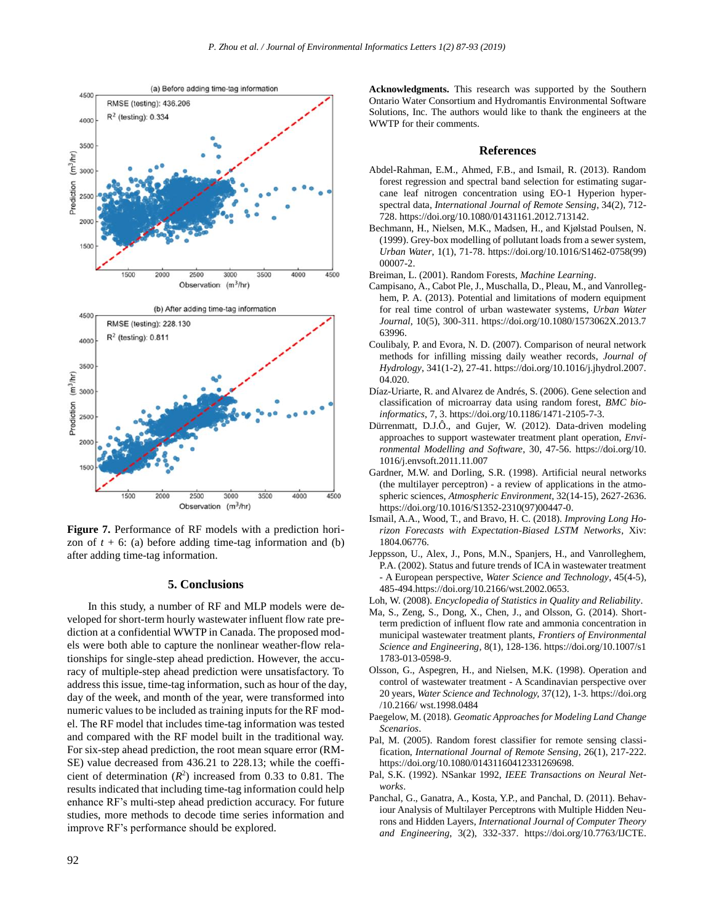

**Figure 7.** Performance of RF models with a prediction horizon of  $t + 6$ : (a) before adding time-tag information and (b) after adding time-tag information.

## **5. Conclusions**

In this study, a number of RF and MLP models were developed for short-term hourly wastewater influent flow rate prediction at a confidential WWTP in Canada. The proposed models were both able to capture the nonlinear weather-flow relationships for single-step ahead prediction. However, the accuracy of multiple-step ahead prediction were unsatisfactory. To address this issue, time-tag information, such as hour of the day, day of the week, and month of the year, were transformed into numeric values to be included as training inputs for the RF model. The RF model that includes time-tag information was tested and compared with the RF model built in the traditional way. For six-step ahead prediction, the root mean square error (RM-SE) value decreased from 436.21 to 228.13; while the coefficient of determination  $(R^2)$  increased from 0.33 to 0.81. The results indicated that including time-tag information could help enhance RF's multi-step ahead prediction accuracy. For future studies, more methods to decode time series information and improve RF's performance should be explored.

**Acknowledgments.** This research was supported by the Southern Ontario Water Consortium and Hydromantis Environmental Software Solutions, Inc. The authors would like to thank the engineers at the WWTP for their comments.

#### **References**

- Abdel-Rahman, E.M., Ahmed, F.B., and Ismail, R. (2013). Random forest regression and spectral band selection for estimating sugarcane leaf nitrogen concentration using EO-1 Hyperion hyperspectral data, *International Journal of Remote Sensing*, 34(2), 712- 728. https://doi.org/10.1080/01431161.2012.713142.
- Bechmann, H., Nielsen, M.K., Madsen, H., and Kjølstad Poulsen, N. (1999). Grey-box modelling of pollutant loads from a sewer system, *Urban Water*, 1(1), 71-78. https://doi.org/10.1016/S1462-0758(99) 00007-2.
- Breiman, L. (2001). Random Forests, *Machine Learning*.
- Campisano, A., Cabot Ple, J., Muschalla, D., Pleau, M., and Vanrolleghem, P. A. (2013). Potential and limitations of modern equipment for real time control of urban wastewater systems, *Urban Water Journal*, 10(5), 300-311. https://doi.org/10.1080/1573062X.2013.7 63996.
- Coulibaly, P. and Evora, N. D. (2007). Comparison of neural network methods for infilling missing daily weather records, *Journal of Hydrology*, 341(1-2), 27-41. https://doi.org/10.1016/j.jhydrol.2007. 04.020.
- Díaz-Uriarte, R. and Alvarez de Andrés, S. (2006). Gene selection and classification of microarray data using random forest, *BMC bioinformatics*, 7, 3. https://doi.org/10.1186/1471-2105-7-3.
- Dürrenmatt, D.J.Ô., and Gujer, W. (2012). Data-driven modeling approaches to support wastewater treatment plant operation, *Environmental Modelling and Software*, 30, 47-56. https://doi.org/10. 1016/j.envsoft.2011.11.007
- Gardner, M.W. and Dorling, S.R. (1998). Artificial neural networks (the multilayer perceptron) - a review of applications in the atmospheric sciences, *Atmospheric Environment*, 32(14-15), 2627-2636. https://doi.org/10.1016/S1352-2310(97)00447-0.
- Ismail, A.A., Wood, T., and Bravo, H. C. (2018). *Improving Long Horizon Forecasts with Expectation-Biased LSTM Networks*, Xiv: 1804.06776.
- Jeppsson, U., Alex, J., Pons, M.N., Spanjers, H., and Vanrolleghem, P.A. (2002). Status and future trends of ICA in wastewater treatment - A European perspective, *Water Science and Technology*, 45(4-5), 485-494.https://doi.org/10.2166/wst.2002.0653.
- Loh, W. (2008). *Encyclopedia of Statistics in Quality and Reliability*.
- Ma, S., Zeng, S., Dong, X., Chen, J., and Olsson, G. (2014). Shortterm prediction of influent flow rate and ammonia concentration in municipal wastewater treatment plants, *Frontiers of Environmental Science and Engineering*, 8(1), 128-136. https://doi.org/10.1007/s1 1783-013-0598-9.
- Olsson, G., Aspegren, H., and Nielsen, M.K. (1998). Operation and control of wastewater treatment - A Scandinavian perspective over 20 years, *Water Science and Technology,* 37(12), 1-3*.* https://doi.org /10.2166/ wst.1998.0484
- Paegelow, M. (2018). *Geomatic Approaches for Modeling Land Change Scenarios*.
- Pal, M. (2005). Random forest classifier for remote sensing classification, *International Journal of Remote Sensing*, 26(1), 217-222. https://doi.org/10.1080/01431160412331269698.
- Pal, S.K. (1992). NSankar 1992, *IEEE Transactions on Neural Networks*.
- Panchal, G., Ganatra, A., Kosta, Y.P., and Panchal, D. (2011). Behaviour Analysis of Multilayer Perceptrons with Multiple Hidden Neurons and Hidden Layers, *International Journal of Computer Theory and Engineering*, 3(2), 332-337. https://doi.org/10.7763/IJCTE.